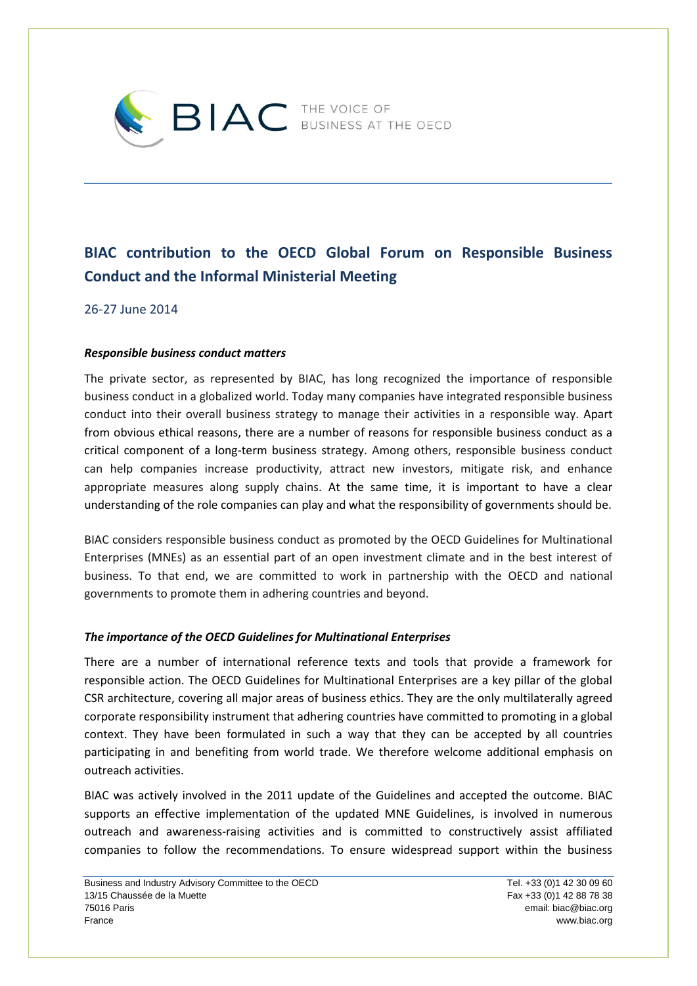

# **BIAC contribution to the OECD Global Forum on Responsible Business Conduct and the Informal Ministerial Meeting**

26-27 June 2014

## *Responsible business conduct matters*

The private sector, as represented by BIAC, has long recognized the importance of responsible business conduct in a globalized world. Today many companies have integrated responsible business conduct into their overall business strategy to manage their activities in a responsible way. Apart from obvious ethical reasons, there are a number of reasons for responsible business conduct as a critical component of a long-term business strategy. Among others, responsible business conduct can help companies increase productivity, attract new investors, mitigate risk, and enhance appropriate measures along supply chains. At the same time, it is important to have a clear understanding of the role companies can play and what the responsibility of governments should be.

BIAC considers responsible business conduct as promoted by the OECD Guidelines for Multinational Enterprises (MNEs) as an essential part of an open investment climate and in the best interest of business. To that end, we are committed to work in partnership with the OECD and national governments to promote them in adhering countries and beyond.

#### *The importance of the OECD Guidelines for Multinational Enterprises*

There are a number of international reference texts and tools that provide a framework for responsible action. The OECD Guidelines for Multinational Enterprises are a key pillar of the global CSR architecture, covering all major areas of business ethics. They are the only multilaterally agreed corporate responsibility instrument that adhering countries have committed to promoting in a global context. They have been formulated in such a way that they can be accepted by all countries participating in and benefiting from world trade. We therefore welcome additional emphasis on outreach activities.

BIAC was actively involved in the 2011 update of the Guidelines and accepted the outcome. BIAC supports an effective implementation of the updated MNE Guidelines, is involved in numerous outreach and awareness-raising activities and is committed to constructively assist affiliated companies to follow the recommendations. To ensure widespread support within the business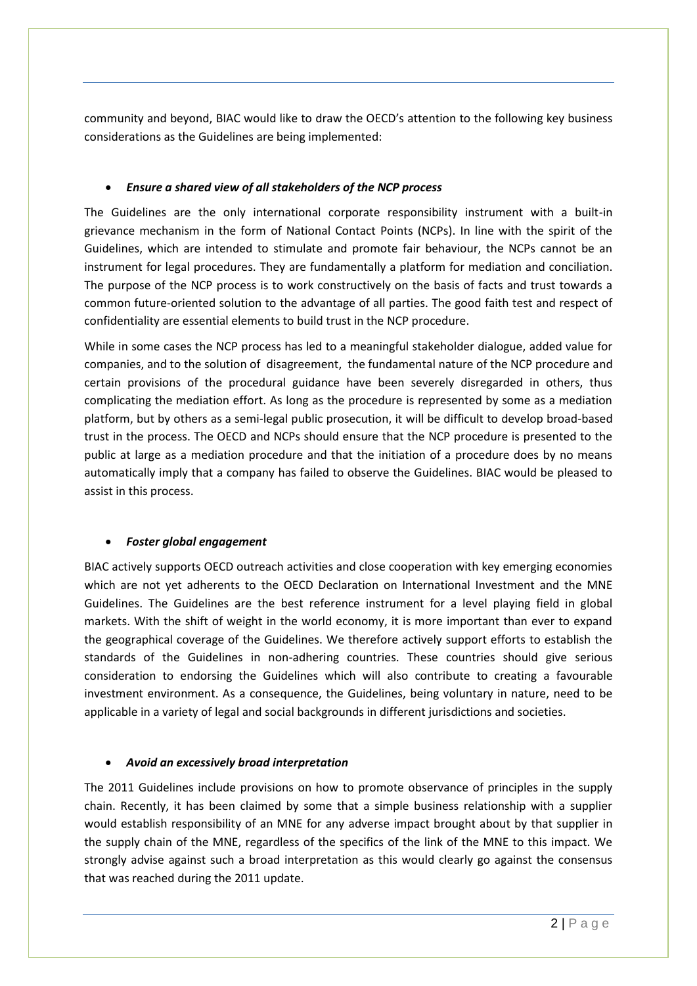community and beyond, BIAC would like to draw the OECD's attention to the following key business considerations as the Guidelines are being implemented:

# *Ensure a shared view of all stakeholders of the NCP process*

The Guidelines are the only international corporate responsibility instrument with a built-in grievance mechanism in the form of National Contact Points (NCPs). In line with the spirit of the Guidelines, which are intended to stimulate and promote fair behaviour, the NCPs cannot be an instrument for legal procedures. They are fundamentally a platform for mediation and conciliation. The purpose of the NCP process is to work constructively on the basis of facts and trust towards a common future-oriented solution to the advantage of all parties. The good faith test and respect of confidentiality are essential elements to build trust in the NCP procedure.

While in some cases the NCP process has led to a meaningful stakeholder dialogue, added value for companies, and to the solution of disagreement, the fundamental nature of the NCP procedure and certain provisions of the procedural guidance have been severely disregarded in others, thus complicating the mediation effort. As long as the procedure is represented by some as a mediation platform, but by others as a semi-legal public prosecution, it will be difficult to develop broad-based trust in the process. The OECD and NCPs should ensure that the NCP procedure is presented to the public at large as a mediation procedure and that the initiation of a procedure does by no means automatically imply that a company has failed to observe the Guidelines. BIAC would be pleased to assist in this process.

#### *Foster global engagement*

BIAC actively supports OECD outreach activities and close cooperation with key emerging economies which are not yet adherents to the OECD Declaration on International Investment and the MNE Guidelines. The Guidelines are the best reference instrument for a level playing field in global markets. With the shift of weight in the world economy, it is more important than ever to expand the geographical coverage of the Guidelines. We therefore actively support efforts to establish the standards of the Guidelines in non-adhering countries. These countries should give serious consideration to endorsing the Guidelines which will also contribute to creating a favourable investment environment. As a consequence, the Guidelines, being voluntary in nature, need to be applicable in a variety of legal and social backgrounds in different jurisdictions and societies.

#### *Avoid an excessively broad interpretation*

The 2011 Guidelines include provisions on how to promote observance of principles in the supply chain. Recently, it has been claimed by some that a simple business relationship with a supplier would establish responsibility of an MNE for any adverse impact brought about by that supplier in the supply chain of the MNE, regardless of the specifics of the link of the MNE to this impact. We strongly advise against such a broad interpretation as this would clearly go against the consensus that was reached during the 2011 update.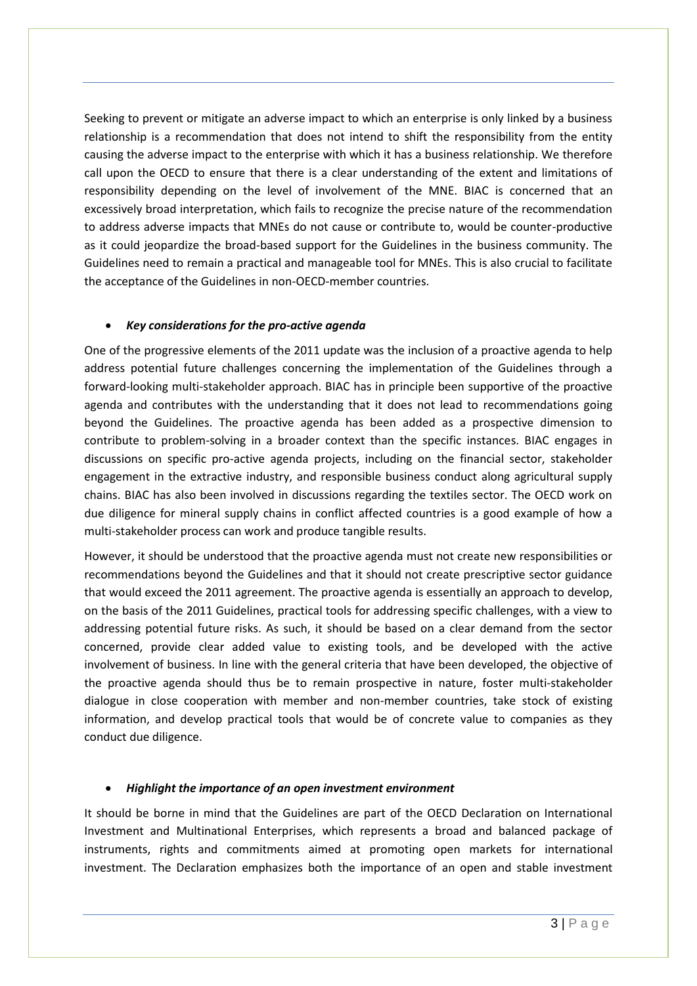Seeking to prevent or mitigate an adverse impact to which an enterprise is only linked by a business relationship is a recommendation that does not intend to shift the responsibility from the entity causing the adverse impact to the enterprise with which it has a business relationship. We therefore call upon the OECD to ensure that there is a clear understanding of the extent and limitations of responsibility depending on the level of involvement of the MNE. BIAC is concerned that an excessively broad interpretation, which fails to recognize the precise nature of the recommendation to address adverse impacts that MNEs do not cause or contribute to, would be counter-productive as it could jeopardize the broad-based support for the Guidelines in the business community. The Guidelines need to remain a practical and manageable tool for MNEs. This is also crucial to facilitate the acceptance of the Guidelines in non-OECD-member countries.

## *Key considerations for the pro-active agenda*

One of the progressive elements of the 2011 update was the inclusion of a proactive agenda to help address potential future challenges concerning the implementation of the Guidelines through a forward-looking multi-stakeholder approach. BIAC has in principle been supportive of the proactive agenda and contributes with the understanding that it does not lead to recommendations going beyond the Guidelines. The proactive agenda has been added as a prospective dimension to contribute to problem-solving in a broader context than the specific instances. BIAC engages in discussions on specific pro-active agenda projects, including on the financial sector, stakeholder engagement in the extractive industry, and responsible business conduct along agricultural supply chains. BIAC has also been involved in discussions regarding the textiles sector. The OECD work on due diligence for mineral supply chains in conflict affected countries is a good example of how a multi-stakeholder process can work and produce tangible results.

However, it should be understood that the proactive agenda must not create new responsibilities or recommendations beyond the Guidelines and that it should not create prescriptive sector guidance that would exceed the 2011 agreement. The proactive agenda is essentially an approach to develop, on the basis of the 2011 Guidelines, practical tools for addressing specific challenges, with a view to addressing potential future risks. As such, it should be based on a clear demand from the sector concerned, provide clear added value to existing tools, and be developed with the active involvement of business. In line with the general criteria that have been developed, the objective of the proactive agenda should thus be to remain prospective in nature, foster multi-stakeholder dialogue in close cooperation with member and non-member countries, take stock of existing information, and develop practical tools that would be of concrete value to companies as they conduct due diligence.

#### *Highlight the importance of an open investment environment*

It should be borne in mind that the Guidelines are part of the OECD Declaration on International Investment and Multinational Enterprises, which represents a broad and balanced package of instruments, rights and commitments aimed at promoting open markets for international investment. The Declaration emphasizes both the importance of an open and stable investment